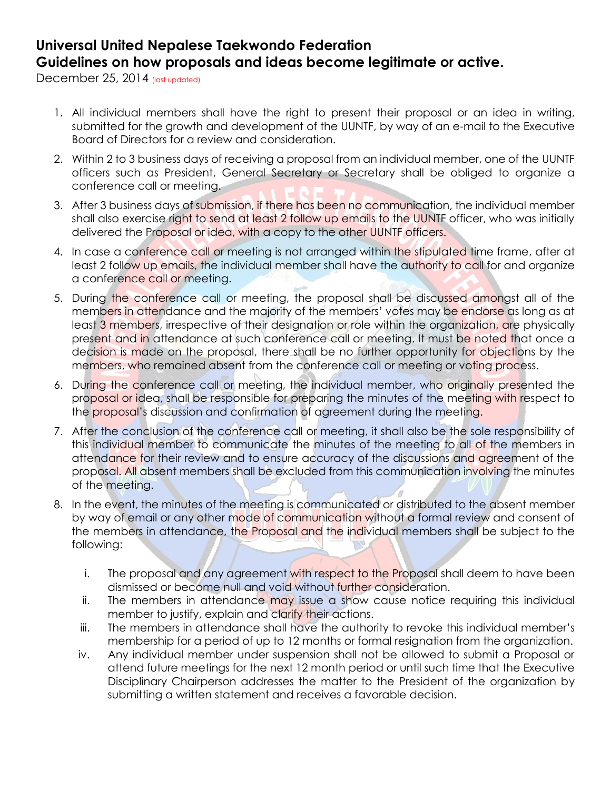## **Universal United Nepalese Taekwondo Federation Guidelines on how proposals and ideas become legitimate or active.**

December 25, 2014 (last updated)

- 1. All individual members shall have the right to present their proposal or an idea in writing, submitted for the growth and development of the UUNTF, by way of an e-mail to the Executive Board of Directors for a review and consideration.
- 2. Within 2 to 3 business days of receiving a proposal from an individual member, one of the UUNTF officers such as President, General Secretary or Secretary shall be obliged to organize a conference call or meeting.
- 3. After 3 business days of submission, if there has been no communication, the individual member shall also exercise right to send at least 2 follow up emails to the UUNTF officer, who was initially delivered the Proposal or idea, with a copy to the other UUNTF officers.
- 4. In case a conference call or meeting is not arranged within the stipulated time frame, after at least 2 follow up emails, the individual member shall have the authority to call for and organize a conference call or meeting.
- 5. During the conference call or meeting, the proposal shall be discussed amongst all of the members in attendance and the majority of the members' votes may be endorse as long as at least 3 members, irrespective of their designation or role within the organization, are physically present and in attendance at such conference call or meeting. It must be noted that once a decision is made on the proposal, there shall be no further opportunity for objections by the members, who remained absent from the conference call or meeting or voting process.
- 6. During the conference call or meeting, the individual member, who originally presented the proposal or idea, shall be responsible for preparing the minutes of the meeting with respect to the proposal's discussion and confirmation of agreement during the meeting.
- 7. After the conclusion of the conference call or meeting, it shall also be the sole responsibility of this individual member to communicate the minutes of the meeting to all of the members in attendance for their review and to ensure accuracy of the discussions and agreement of the proposal. All absent members shall be excluded from this communication involving the minutes of the meeting.
- 8. In the event, the minutes of the meeting is communicated or distributed to the absent member by way of email or any other mode of communication without a formal review and consent of the members in attendance, the Proposal and the individual members shall be subject to the following:
	- i. The proposal and any agreement with respect to the Proposal shall deem to have been dismissed or become null and void without further consideration.
	- ii. The members in attendance may issue a show cause notice requiring this individual member to justify, explain and clarify their actions.
	- iii. The members in attendance shall have the authority to revoke this individual member's membership for a period of up to 12 months or formal resignation from the organization.
	- iv. Any individual member under suspension shall not be allowed to submit a Proposal or attend future meetings for the next 12 month period or until such time that the Executive Disciplinary Chairperson addresses the matter to the President of the organization by submitting a written statement and receives a favorable decision.